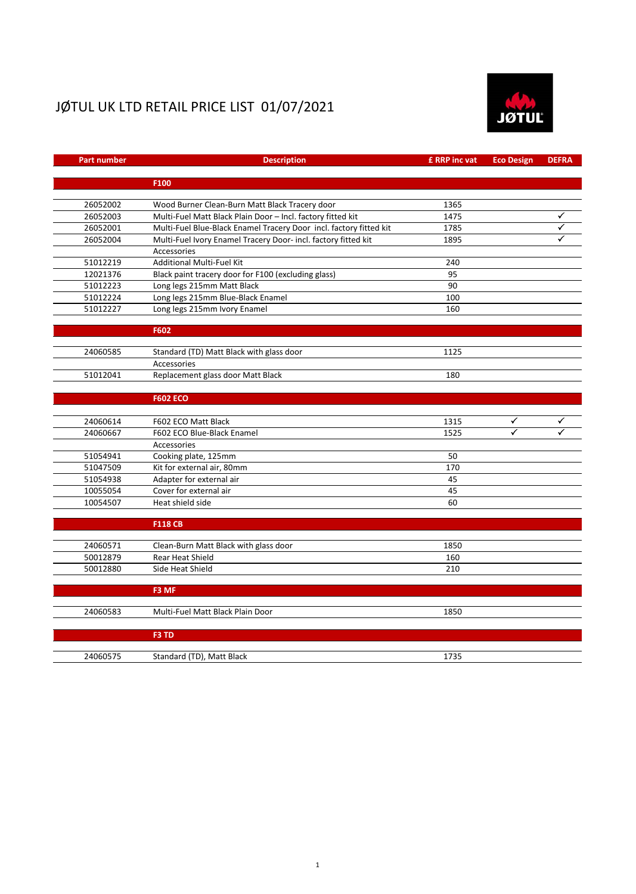## JØTUL UK LTD RETAIL PRICE LIST 01/07/2021



| <b>Part number</b> | <b>Description</b>                                                 |      | <b>Eco Design</b> | <b>DEFRA</b> |
|--------------------|--------------------------------------------------------------------|------|-------------------|--------------|
|                    |                                                                    |      |                   |              |
|                    | F100                                                               |      |                   |              |
| 26052002           | Wood Burner Clean-Burn Matt Black Tracery door                     | 1365 |                   |              |
| 26052003           | Multi-Fuel Matt Black Plain Door - Incl. factory fitted kit        | 1475 |                   |              |
| 26052001           | Multi-Fuel Blue-Black Enamel Tracery Door incl. factory fitted kit | 1785 |                   |              |
| 26052004           | Multi-Fuel Ivory Enamel Tracery Door- incl. factory fitted kit     | 1895 |                   |              |
|                    | Accessories                                                        |      |                   |              |
| 51012219           | Additional Multi-Fuel Kit                                          | 240  |                   |              |
| 12021376           | Black paint tracery door for F100 (excluding glass)                | 95   |                   |              |
| 51012223           | Long legs 215mm Matt Black                                         | 90   |                   |              |
| 51012224           | Long legs 215mm Blue-Black Enamel                                  | 100  |                   |              |
| 51012227           | Long legs 215mm Ivory Enamel                                       | 160  |                   |              |
|                    | F602                                                               |      |                   |              |
|                    |                                                                    |      |                   |              |
| 24060585           | Standard (TD) Matt Black with glass door                           | 1125 |                   |              |
|                    | Accessories                                                        |      |                   |              |
| 51012041           | Replacement glass door Matt Black                                  | 180  |                   |              |
|                    | <b>F602 ECO</b>                                                    |      |                   |              |
|                    |                                                                    |      |                   |              |
| 24060614           | F602 ECO Matt Black                                                | 1315 |                   |              |
| 24060667           | F602 ECO Blue-Black Enamel                                         | 1525 | ✓                 |              |
|                    | Accessories                                                        |      |                   |              |
| 51054941           | Cooking plate, 125mm                                               | 50   |                   |              |
| 51047509           | Kit for external air, 80mm                                         | 170  |                   |              |
| 51054938           | Adapter for external air                                           | 45   |                   |              |
| 10055054           | Cover for external air                                             | 45   |                   |              |
| 10054507           | Heat shield side                                                   | 60   |                   |              |
|                    | <b>F118 CB</b>                                                     |      |                   |              |
| 24060571           | Clean-Burn Matt Black with glass door                              | 1850 |                   |              |
| 50012879           | <b>Rear Heat Shield</b>                                            | 160  |                   |              |
| 50012880           | Side Heat Shield                                                   | 210  |                   |              |
|                    |                                                                    |      |                   |              |
|                    | F3 MF                                                              |      |                   |              |
| 24060583           | Multi-Fuel Matt Black Plain Door                                   | 1850 |                   |              |
|                    | F3 TD                                                              |      |                   |              |
|                    |                                                                    |      |                   |              |
| 24060575           | Standard (TD), Matt Black                                          | 1735 |                   |              |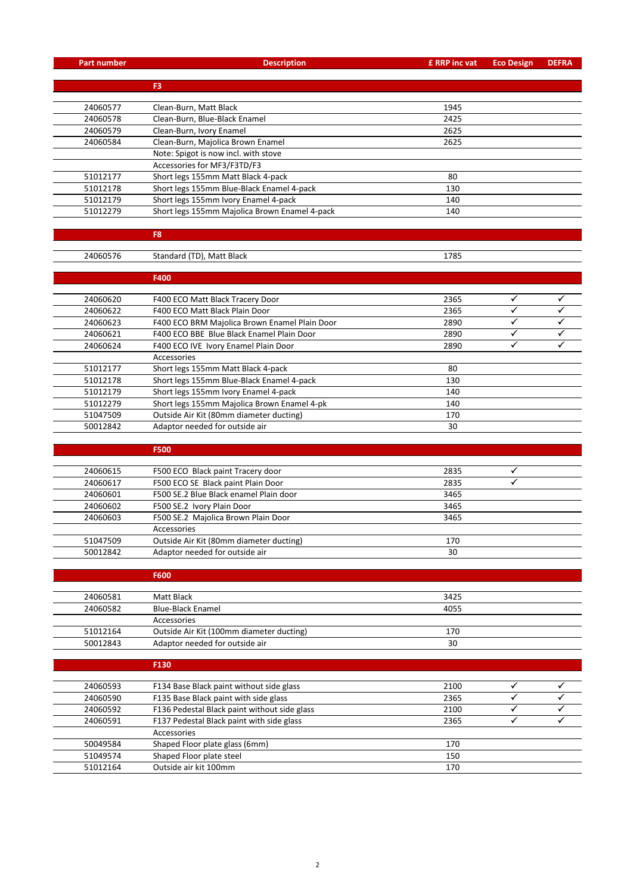| <b>Part number</b>   | <b>Description</b>                                                  | £ RRP inc vat | <b>Eco Design</b>         | <b>DEFRA</b> |
|----------------------|---------------------------------------------------------------------|---------------|---------------------------|--------------|
|                      |                                                                     |               |                           |              |
|                      | F3                                                                  |               |                           |              |
|                      |                                                                     |               |                           |              |
| 24060577<br>24060578 | Clean-Burn, Matt Black                                              | 1945<br>2425  |                           |              |
| 24060579             | Clean-Burn, Blue-Black Enamel<br>Clean-Burn, Ivory Enamel           | 2625          |                           |              |
| 24060584             |                                                                     |               |                           |              |
|                      | Clean-Burn, Majolica Brown Enamel                                   | 2625          |                           |              |
|                      | Note: Spigot is now incl. with stove<br>Accessories for MF3/F3TD/F3 |               |                           |              |
| 51012177             | Short legs 155mm Matt Black 4-pack                                  | 80            |                           |              |
| 51012178             | Short legs 155mm Blue-Black Enamel 4-pack                           | 130           |                           |              |
| 51012179             | Short legs 155mm Ivory Enamel 4-pack                                | 140           |                           |              |
| 51012279             | Short legs 155mm Majolica Brown Enamel 4-pack                       | 140           |                           |              |
|                      |                                                                     |               |                           |              |
|                      | F8                                                                  |               |                           |              |
|                      |                                                                     |               |                           |              |
| 24060576             | Standard (TD), Matt Black                                           | 1785          |                           |              |
|                      | F400                                                                |               |                           |              |
|                      |                                                                     |               |                           |              |
| 24060620             | F400 ECO Matt Black Tracery Door                                    | 2365          | ✓                         |              |
| 24060622             | F400 ECO Matt Black Plain Door                                      | 2365          | ✓                         |              |
| 24060623             | F400 ECO BRM Majolica Brown Enamel Plain Door                       | 2890          | ✓                         |              |
| 24060621             | F400 ECO BBE Blue Black Enamel Plain Door                           | 2890          | $\checkmark$              | ✓            |
| 24060624             | F400 ECO IVE Ivory Enamel Plain Door                                | 2890          | ✓                         | ✓            |
|                      | Accessories                                                         |               |                           |              |
| 51012177             | Short legs 155mm Matt Black 4-pack                                  | 80            |                           |              |
| 51012178             | Short legs 155mm Blue-Black Enamel 4-pack                           | 130           |                           |              |
| 51012179             | Short legs 155mm Ivory Enamel 4-pack                                | 140           |                           |              |
| 51012279             | Short legs 155mm Majolica Brown Enamel 4-pk                         | 140           |                           |              |
| 51047509             | Outside Air Kit (80mm diameter ducting)                             | 170           |                           |              |
| 50012842             | Adaptor needed for outside air                                      | 30            |                           |              |
|                      |                                                                     |               |                           |              |
|                      | <b>F500</b>                                                         |               |                           |              |
| 24060615             | F500 ECO Black paint Tracery door                                   | 2835          | $\checkmark$              |              |
| 24060617             | F500 ECO SE Black paint Plain Door                                  | 2835          | $\checkmark$              |              |
| 24060601             | F500 SE.2 Blue Black enamel Plain door                              | 3465          |                           |              |
| 24060602             | F500 SE.2 Ivory Plain Door                                          | 3465          |                           |              |
| 24060603             | F500 SE.2 Majolica Brown Plain Door                                 | 3465          |                           |              |
|                      | Accessories                                                         |               |                           |              |
| 51047509             | Outside Air Kit (80mm diameter ducting)                             | 170           |                           |              |
| 50012842             | Adaptor needed for outside air                                      | 30            |                           |              |
|                      |                                                                     |               |                           |              |
|                      | <b>F600</b>                                                         |               |                           |              |
| 24060581             | Matt Black                                                          | 3425          |                           |              |
| 24060582             | <b>Blue-Black Enamel</b>                                            | 4055          |                           |              |
|                      | Accessories                                                         |               |                           |              |
| 51012164             | Outside Air Kit (100mm diameter ducting)                            | 170           |                           |              |
| 50012843             | Adaptor needed for outside air                                      | 30            |                           |              |
|                      |                                                                     |               |                           |              |
|                      | F130                                                                |               |                           |              |
|                      |                                                                     |               |                           |              |
| 24060593             | F134 Base Black paint without side glass                            | 2100          | ✓                         | ✓            |
| 24060590             | F135 Base Black paint with side glass                               | 2365          | $\checkmark$              |              |
| 24060592             | F136 Pedestal Black paint without side glass                        | 2100          | ✓<br>$\blacktriangledown$ | ✓            |
| 24060591             | F137 Pedestal Black paint with side glass                           | 2365          |                           |              |
|                      | Accessories<br>Shaped Floor plate glass (6mm)                       |               |                           |              |
| 50049584<br>51049574 | Shaped Floor plate steel                                            | 170<br>150    |                           |              |
|                      |                                                                     |               |                           |              |

51049574 Shaped Floor plate steel 150<br>51012164 Outside air kit 100mm 170

Outside air kit 100mm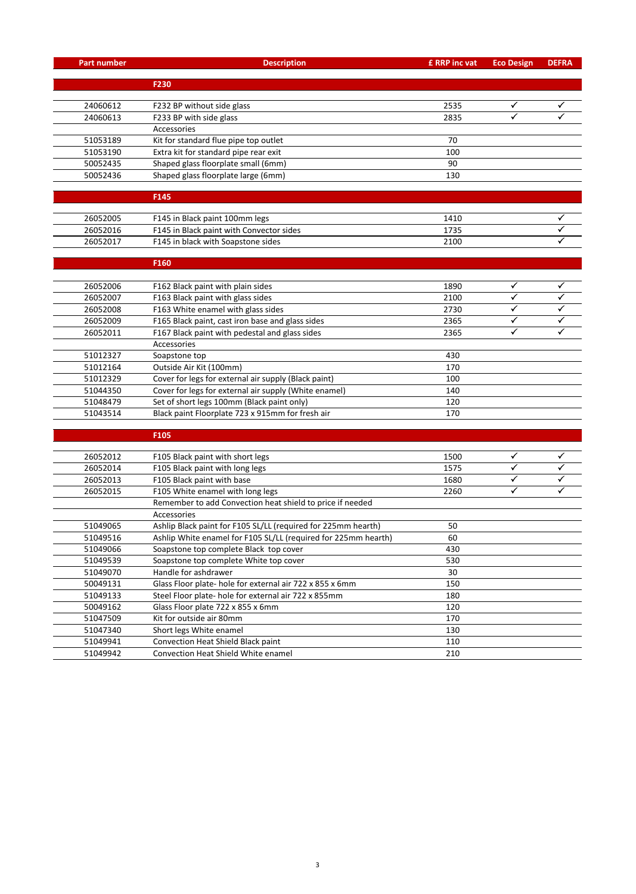| <b>Part number</b> | <b>Description</b>                                             |      | <b>Eco Design</b> | <b>DEFRA</b> |
|--------------------|----------------------------------------------------------------|------|-------------------|--------------|
|                    |                                                                |      |                   |              |
|                    | F230                                                           |      |                   |              |
| 24060612           |                                                                | 2535 | ✓                 |              |
| 24060613           | F232 BP without side glass<br>F233 BP with side glass          | 2835 | ✓                 | ✓            |
|                    | Accessories                                                    |      |                   |              |
| 51053189           | Kit for standard flue pipe top outlet                          | 70   |                   |              |
| 51053190           | Extra kit for standard pipe rear exit                          | 100  |                   |              |
| 50052435           | Shaped glass floorplate small (6mm)                            | 90   |                   |              |
| 50052436           | Shaped glass floorplate large (6mm)                            | 130  |                   |              |
|                    |                                                                |      |                   |              |
|                    | F145                                                           |      |                   |              |
|                    |                                                                |      |                   |              |
| 26052005           | F145 in Black paint 100mm legs                                 | 1410 |                   |              |
| 26052016           | F145 in Black paint with Convector sides                       | 1735 |                   |              |
| 26052017           | F145 in black with Soapstone sides                             | 2100 |                   |              |
|                    |                                                                |      |                   |              |
|                    | F160                                                           |      |                   |              |
|                    |                                                                |      |                   |              |
| 26052006           | F162 Black paint with plain sides                              | 1890 | ✓                 | ✓            |
| 26052007           | F163 Black paint with glass sides                              | 2100 | ✓                 |              |
| 26052008           | F163 White enamel with glass sides                             | 2730 | ✓                 |              |
| 26052009           | F165 Black paint, cast iron base and glass sides               | 2365 | ✓                 |              |
| 26052011           | F167 Black paint with pedestal and glass sides                 | 2365 | ✓                 | ✓            |
|                    | Accessories                                                    |      |                   |              |
| 51012327           | Soapstone top                                                  | 430  |                   |              |
| 51012164           | Outside Air Kit (100mm)                                        | 170  |                   |              |
| 51012329           | Cover for legs for external air supply (Black paint)           | 100  |                   |              |
| 51044350           | Cover for legs for external air supply (White enamel)          | 140  |                   |              |
| 51048479           | Set of short legs 100mm (Black paint only)                     | 120  |                   |              |
| 51043514           | Black paint Floorplate 723 x 915mm for fresh air               | 170  |                   |              |
|                    |                                                                |      |                   |              |
|                    | F105                                                           |      |                   |              |
| 26052012           | F105 Black paint with short legs                               | 1500 | ✓                 |              |
| 26052014           | F105 Black paint with long legs                                | 1575 | ✓                 | ✓            |
| 26052013           | F105 Black paint with base                                     | 1680 | ✓                 |              |
| 26052015           | F105 White enamel with long legs                               |      | ✓                 |              |
|                    | Remember to add Convection heat shield to price if needed      | 2260 |                   |              |
|                    | Accessories                                                    |      |                   |              |
| 51049065           | Ashlip Black paint for F105 SL/LL (required for 225mm hearth)  | 50   |                   |              |
| 51049516           | Ashlip White enamel for F105 SL/LL (required for 225mm hearth) | 60   |                   |              |
| 51049066           | Soapstone top complete Black top cover                         | 430  |                   |              |
| 51049539           | Soapstone top complete White top cover                         | 530  |                   |              |
| 51049070           | Handle for ashdrawer                                           | 30   |                   |              |
| 50049131           | Glass Floor plate- hole for external air 722 x 855 x 6mm       | 150  |                   |              |
| 51049133           | Steel Floor plate- hole for external air 722 x 855mm           | 180  |                   |              |
| 50049162           | Glass Floor plate 722 x 855 x 6mm                              | 120  |                   |              |
| 51047509           | Kit for outside air 80mm                                       | 170  |                   |              |
| 51047340           | Short legs White enamel                                        | 130  |                   |              |
| 51049941           | Convection Heat Shield Black paint                             | 110  |                   |              |
| 51049942           | Convection Heat Shield White enamel                            |      |                   |              |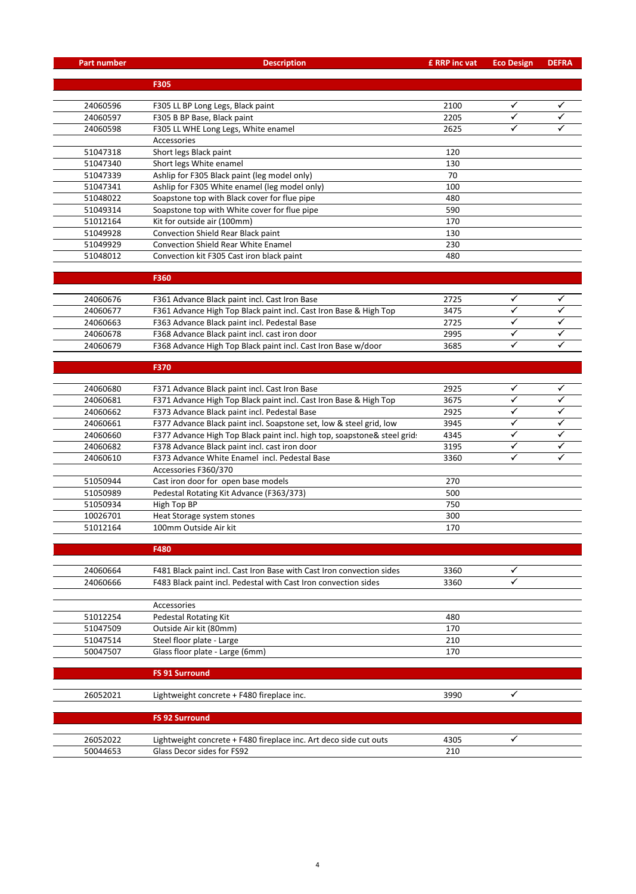| <b>Part number</b> | <b>Description</b>                                                       |      | <b>Eco Design</b> | <b>DEFRA</b> |
|--------------------|--------------------------------------------------------------------------|------|-------------------|--------------|
|                    |                                                                          |      |                   |              |
|                    | F305                                                                     |      |                   |              |
|                    |                                                                          |      |                   |              |
| 24060596           | F305 LL BP Long Legs, Black paint                                        | 2100 | ✓<br>✓            |              |
| 24060597           | F305 B BP Base, Black paint                                              | 2205 | $\checkmark$      | ✓            |
| 24060598           | F305 LL WHE Long Legs, White enamel                                      | 2625 |                   |              |
| 51047318           | Accessories<br>Short legs Black paint                                    | 120  |                   |              |
| 51047340           | Short legs White enamel                                                  | 130  |                   |              |
| 51047339           | Ashlip for F305 Black paint (leg model only)                             | 70   |                   |              |
| 51047341           | Ashlip for F305 White enamel (leg model only)                            | 100  |                   |              |
| 51048022           | Soapstone top with Black cover for flue pipe                             | 480  |                   |              |
| 51049314           | Soapstone top with White cover for flue pipe                             | 590  |                   |              |
| 51012164           | Kit for outside air (100mm)                                              | 170  |                   |              |
| 51049928           | Convection Shield Rear Black paint                                       | 130  |                   |              |
| 51049929           | <b>Convection Shield Rear White Enamel</b>                               | 230  |                   |              |
| 51048012           | Convection kit F305 Cast iron black paint                                | 480  |                   |              |
|                    |                                                                          |      |                   |              |
|                    | F360                                                                     |      |                   |              |
|                    |                                                                          |      |                   |              |
| 24060676           | F361 Advance Black paint incl. Cast Iron Base                            | 2725 | ✓                 | ✓            |
| 24060677           | F361 Advance High Top Black paint incl. Cast Iron Base & High Top        | 3475 | ✓                 | ✓            |
| 24060663           | F363 Advance Black paint incl. Pedestal Base                             | 2725 | ✓                 | ✓            |
| 24060678           | F368 Advance Black paint incl. cast iron door                            | 2995 | ✓                 |              |
| 24060679           | F368 Advance High Top Black paint incl. Cast Iron Base w/door            | 3685 | ✓                 | ✓            |
|                    |                                                                          |      |                   |              |
|                    | F370                                                                     |      |                   |              |
| 24060680           | F371 Advance Black paint incl. Cast Iron Base                            | 2925 | ✓                 | ✓            |
| 24060681           | F371 Advance High Top Black paint incl. Cast Iron Base & High Top        | 3675 | ✓                 |              |
| 24060662           | F373 Advance Black paint incl. Pedestal Base                             | 2925 | ✓                 | ✓            |
| 24060661           | F377 Advance Black paint incl. Soapstone set, low & steel grid, low      | 3945 | ✓                 | ✓            |
| 24060660           | F377 Advance High Top Black paint incl. high top, soapstone& steel grid: | 4345 | ✓                 |              |
| 24060682           | F378 Advance Black paint incl. cast iron door                            | 3195 | ✓                 |              |
| 24060610           | F373 Advance White Enamel incl. Pedestal Base                            | 3360 | ✓                 | ✓            |
|                    | Accessories F360/370                                                     |      |                   |              |
| 51050944           | Cast iron door for open base models                                      | 270  |                   |              |
| 51050989           | Pedestal Rotating Kit Advance (F363/373)                                 | 500  |                   |              |
| 51050934           | High Top BP                                                              | 750  |                   |              |
| 10026701           | Heat Storage system stones                                               | 300  |                   |              |
| 51012164           | 100mm Outside Air kit                                                    | 170  |                   |              |
|                    |                                                                          |      |                   |              |
|                    | F480                                                                     |      |                   |              |
|                    |                                                                          |      |                   |              |
| 24060664           | F481 Black paint incl. Cast Iron Base with Cast Iron convection sides    | 3360 | ✓                 |              |
| 24060666           | F483 Black paint incl. Pedestal with Cast Iron convection sides          | 3360 | ✓                 |              |
|                    |                                                                          |      |                   |              |
|                    | Accessories                                                              |      |                   |              |
| 51012254           | Pedestal Rotating Kit                                                    | 480  |                   |              |
| 51047509           | Outside Air kit (80mm)                                                   | 170  |                   |              |
| 51047514           | Steel floor plate - Large                                                | 210  |                   |              |
| 50047507           | Glass floor plate - Large (6mm)                                          | 170  |                   |              |
|                    | <b>FS 91 Surround</b>                                                    |      |                   |              |
|                    |                                                                          |      |                   |              |
| 26052021           | Lightweight concrete + F480 fireplace inc.                               | 3990 | ✓                 |              |
|                    |                                                                          |      |                   |              |
|                    | <b>FS 92 Surround</b>                                                    |      |                   |              |
|                    |                                                                          |      |                   |              |
| 26052022           | Lightweight concrete + F480 fireplace inc. Art deco side cut outs        | 4305 | ✓                 |              |
| 50044653           | Glass Decor sides for FS92                                               | 210  |                   |              |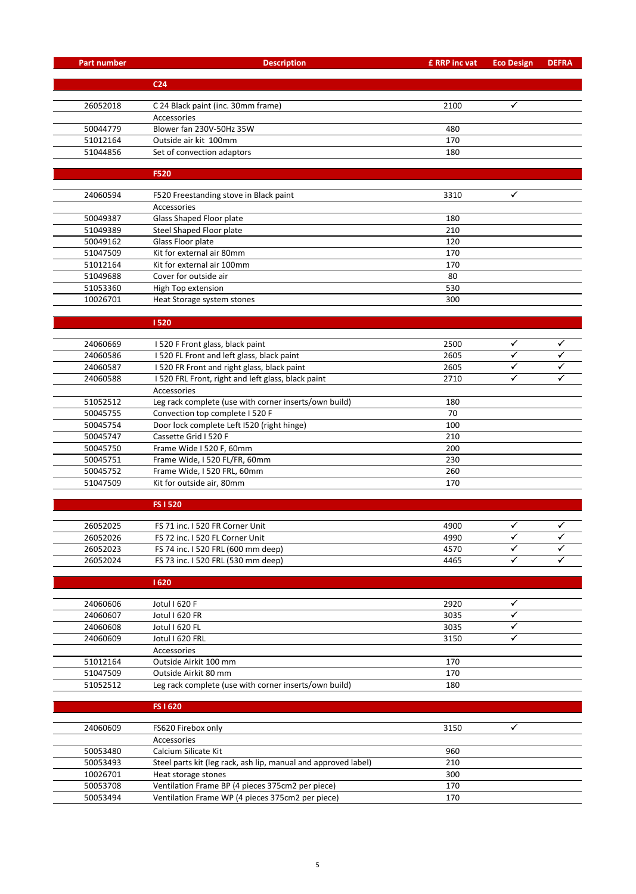| <b>Part number</b>   | <b>Description</b>                                                             | £ RRP inc vat | <b>Eco Design</b> | <b>DEFRA</b> |  |
|----------------------|--------------------------------------------------------------------------------|---------------|-------------------|--------------|--|
|                      |                                                                                |               |                   |              |  |
|                      | C <sub>24</sub>                                                                |               |                   |              |  |
| 26052018             | C 24 Black paint (inc. 30mm frame)                                             | 2100          | ✓                 |              |  |
|                      | Accessories                                                                    |               |                   |              |  |
| 50044779             | Blower fan 230V-50Hz 35W                                                       | 480           |                   |              |  |
| 51012164             | Outside air kit 100mm                                                          | 170           |                   |              |  |
| 51044856             | Set of convection adaptors                                                     | 180           |                   |              |  |
|                      |                                                                                |               |                   |              |  |
|                      | <b>F520</b>                                                                    |               |                   |              |  |
|                      |                                                                                |               | ✓                 |              |  |
| 24060594             | F520 Freestanding stove in Black paint<br>Accessories                          | 3310          |                   |              |  |
| 50049387             | Glass Shaped Floor plate                                                       | 180           |                   |              |  |
| 51049389             | Steel Shaped Floor plate                                                       | 210           |                   |              |  |
| 50049162             | Glass Floor plate                                                              | 120           |                   |              |  |
| 51047509             | Kit for external air 80mm                                                      | 170           |                   |              |  |
| 51012164             | Kit for external air 100mm                                                     | 170           |                   |              |  |
| 51049688             | Cover for outside air                                                          | 80            |                   |              |  |
| 51053360             | High Top extension                                                             | 530           |                   |              |  |
| 10026701             | Heat Storage system stones                                                     | 300           |                   |              |  |
|                      |                                                                                |               |                   |              |  |
|                      | 1520                                                                           |               |                   |              |  |
|                      |                                                                                |               | ✓                 |              |  |
| 24060669<br>24060586 | I 520 F Front glass, black paint<br>I 520 FL Front and left glass, black paint | 2500<br>2605  | $\checkmark$      | ✓            |  |
| 24060587             | I 520 FR Front and right glass, black paint                                    | 2605          | ✓                 |              |  |
| 24060588             | I 520 FRL Front, right and left glass, black paint                             | 2710          | ✓                 |              |  |
|                      | Accessories                                                                    |               |                   |              |  |
| 51052512             | Leg rack complete (use with corner inserts/own build)                          | 180           |                   |              |  |
| 50045755             | Convection top complete I 520 F                                                | 70            |                   |              |  |
| 50045754             | Door lock complete Left I520 (right hinge)                                     | 100           |                   |              |  |
| 50045747             | Cassette Grid I 520 F                                                          | 210           |                   |              |  |
| 50045750             | Frame Wide I 520 F, 60mm                                                       | 200           |                   |              |  |
| 50045751             | Frame Wide, I 520 FL/FR, 60mm                                                  | 230           |                   |              |  |
| 50045752             | Frame Wide, I 520 FRL, 60mm                                                    | 260           |                   |              |  |
| 51047509             | Kit for outside air, 80mm                                                      | 170           |                   |              |  |
|                      |                                                                                |               |                   |              |  |
|                      | <b>FS1520</b>                                                                  |               |                   |              |  |
| 26052025             | FS 71 inc. I 520 FR Corner Unit                                                | 4900          |                   |              |  |
| 26052026             | FS 72 inc. I 520 FL Corner Unit                                                | 4990          | ✓                 | ✓            |  |
| 26052023             | FS 74 inc. I 520 FRL (600 mm deep)                                             | 4570          | ✓                 |              |  |
| 26052024             | FS 73 inc. I 520 FRL (530 mm deep)                                             | 4465          | ✓                 |              |  |
|                      |                                                                                |               |                   |              |  |
|                      | 1620                                                                           |               |                   |              |  |
| 24060606             | Jotul I 620 F                                                                  | 2920          | ✓                 |              |  |
| 24060607             | Jotul I 620 FR                                                                 | 3035          | ✓                 |              |  |
| 24060608             | Jotul I 620 FL                                                                 | 3035          | ✓                 |              |  |
| 24060609             | Jotul I 620 FRL                                                                | 3150          | ✓                 |              |  |
|                      | Accessories                                                                    |               |                   |              |  |
| 51012164             | Outside Airkit 100 mm                                                          | 170           |                   |              |  |
| 51047509             | Outside Airkit 80 mm                                                           | 170           |                   |              |  |
| 51052512             | Leg rack complete (use with corner inserts/own build)                          | 180           |                   |              |  |
|                      |                                                                                |               |                   |              |  |
|                      | FS I 620                                                                       |               |                   |              |  |
| 24060609             | FS620 Firebox only                                                             | 3150          | ✓                 |              |  |
|                      | Accessories                                                                    |               |                   |              |  |
| 50053480             | Calcium Silicate Kit                                                           | 960           |                   |              |  |
| 50053493             | Steel parts kit (leg rack, ash lip, manual and approved label)                 | 210           |                   |              |  |
| 10026701             | Heat storage stones                                                            | 300           |                   |              |  |
| 50053708             | Ventilation Frame BP (4 pieces 375cm2 per piece)                               | 170           |                   |              |  |
| 50053494             | Ventilation Frame WP (4 pieces 375cm2 per piece)                               | 170           |                   |              |  |
|                      |                                                                                |               |                   |              |  |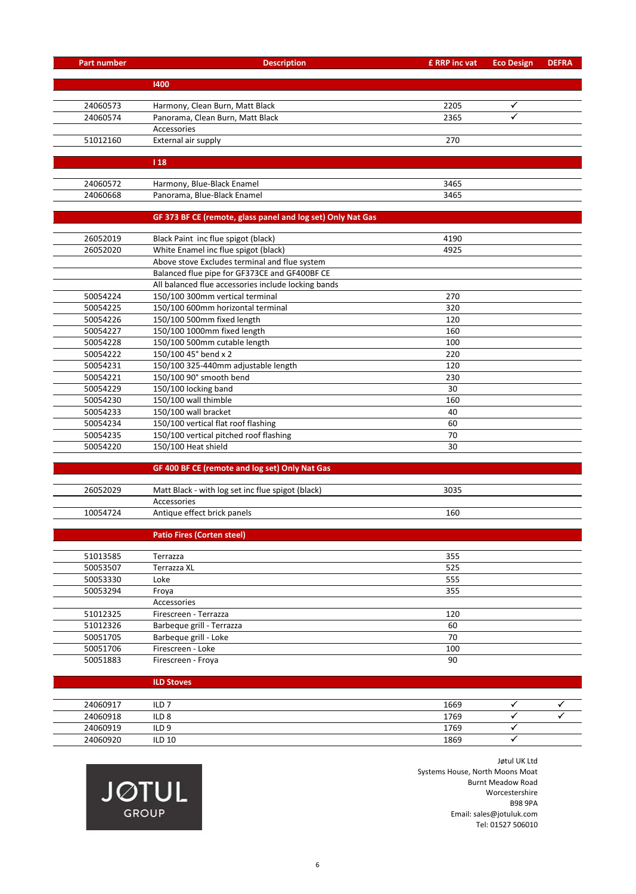| <b>Part number</b>     | <b>Description</b>                                          | £ RRP inc vat | <b>Eco Design</b> | <b>DEFRA</b> |
|------------------------|-------------------------------------------------------------|---------------|-------------------|--------------|
|                        | 1400                                                        |               |                   |              |
|                        |                                                             |               |                   |              |
| 24060573               | Harmony, Clean Burn, Matt Black                             | 2205          | ✓                 |              |
| 24060574               | Panorama, Clean Burn, Matt Black                            | 2365          | $\checkmark$      |              |
|                        | Accessories                                                 |               |                   |              |
| 51012160               | External air supply                                         | 270           |                   |              |
|                        |                                                             |               |                   |              |
|                        | 118                                                         |               |                   |              |
|                        |                                                             |               |                   |              |
| 24060572               | Harmony, Blue-Black Enamel                                  | 3465          |                   |              |
| 24060668               | Panorama, Blue-Black Enamel                                 | 3465          |                   |              |
|                        | GF 373 BF CE (remote, glass panel and log set) Only Nat Gas |               |                   |              |
|                        |                                                             |               |                   |              |
| 26052019               | Black Paint inc flue spigot (black)                         | 4190          |                   |              |
| 26052020               | White Enamel inc flue spigot (black)                        | 4925          |                   |              |
|                        | Above stove Excludes terminal and flue system               |               |                   |              |
|                        | Balanced flue pipe for GF373CE and GF400BF CE               |               |                   |              |
|                        | All balanced flue accessories include locking bands         |               |                   |              |
| 50054224               | 150/100 300mm vertical terminal                             | 270           |                   |              |
| 50054225               | 150/100 600mm horizontal terminal                           | 320           |                   |              |
| 50054226               | 150/100 500mm fixed length                                  | 120           |                   |              |
| 50054227               | 150/100 1000mm fixed length                                 | 160           |                   |              |
| 50054228               | 150/100 500mm cutable length                                | 100           |                   |              |
| 50054222               | 150/100 45° bend x 2                                        | 220           |                   |              |
| 50054231               | 150/100 325-440mm adjustable length                         | 120           |                   |              |
| 50054221               | 150/100 90° smooth bend                                     | 230           |                   |              |
| 50054229               | 150/100 locking band                                        | 30            |                   |              |
| 50054230               | 150/100 wall thimble                                        | 160           |                   |              |
| 50054233               | 150/100 wall bracket                                        | 40            |                   |              |
| 50054234               | 150/100 vertical flat roof flashing                         | 60            |                   |              |
| 50054235               | 150/100 vertical pitched roof flashing                      | 70            |                   |              |
| 50054220               | 150/100 Heat shield                                         | 30            |                   |              |
|                        | GF 400 BF CE (remote and log set) Only Nat Gas              |               |                   |              |
|                        |                                                             |               |                   |              |
| 26052029               | Matt Black - with log set inc flue spigot (black)           | 3035          |                   |              |
|                        | Accessories                                                 |               |                   |              |
| 10054724               | Antique effect brick panels                                 | 160           |                   |              |
|                        |                                                             |               |                   |              |
|                        | <b>Patio Fires (Corten steel)</b>                           |               |                   |              |
| 51013585               | Terrazza                                                    | 355           |                   |              |
| 50053507               | Terrazza XL                                                 | 525           |                   |              |
| 50053330               | Loke                                                        | 555           |                   |              |
| 50053294               | Froya                                                       | 355           |                   |              |
|                        | Accessories                                                 |               |                   |              |
| 51012325               | Firescreen - Terrazza                                       | 120           |                   |              |
| 51012326               | Barbeque grill - Terrazza                                   | 60            |                   |              |
| 50051705               | Barbeque grill - Loke                                       | 70            |                   |              |
| 50051706               | Firescreen - Loke                                           | 100           |                   |              |
| 50051883               | Firescreen - Froya                                          | 90            |                   |              |
|                        |                                                             |               |                   |              |
|                        | <b>ILD Stoves</b>                                           |               |                   |              |
|                        |                                                             |               |                   |              |
| 24060917<br>$2.000010$ | ILD <sub>7</sub><br>$II \cap Q$                             | 1669<br>1700  | ✓                 |              |

| 24060917 | ILD              |  | 1669 |  |
|----------|------------------|--|------|--|
| 24060918 | ILD <sub>8</sub> |  | 1769 |  |
| 24060919 | ILD <sub>9</sub> |  | 1769 |  |
| 24060920 | <b>ILD 10</b>    |  | 1869 |  |
|          |                  |  |      |  |



Jøtul UK Ltd Systems House, North Moons Moat Burnt Meadow Road Worcestershire B98 9PA Email: sales@jotuluk.com Tel: 01527 506010